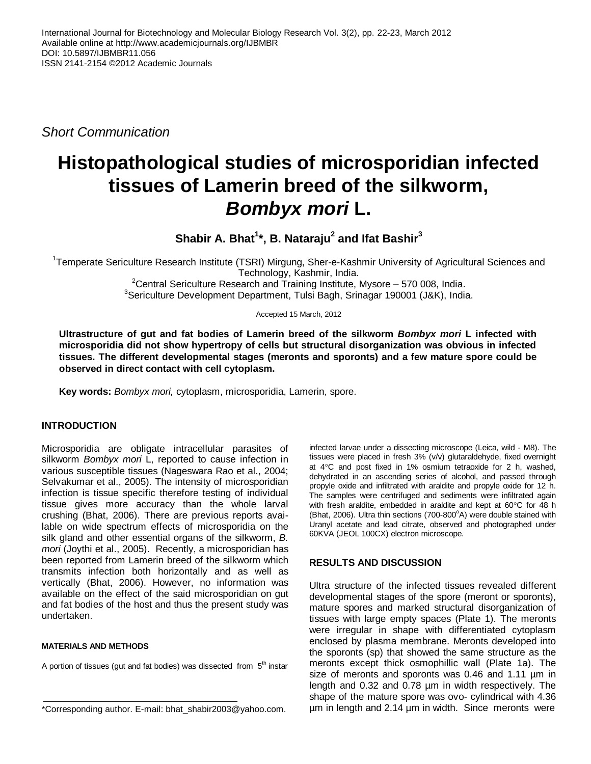*Short Communication*

# **Histopathological studies of microsporidian infected tissues of Lamerin breed of the silkworm,**  *Bombyx mori* **L.**

**Shabir A. Bhat<sup>1</sup> \*, B. Nataraju<sup>2</sup> and Ifat Bashir<sup>3</sup>**

<sup>1</sup>Temperate Sericulture Research Institute (TSRI) Mirgung, Sher-e-Kashmir University of Agricultural Sciences and Technology, Kashmir, India.

<sup>2</sup>Central Sericulture Research and Training Institute, Mysore  $-570008$ , India. <sup>3</sup>Sericulture Development Department, Tulsi Bagh, Srinagar 190001 (J&K), India.

Accepted 15 March, 2012

**Ultrastructure of gut and fat bodies of Lamerin breed of the silkworm** *Bombyx mori* **L infected with microsporidia did not show hypertropy of cells but structural disorganization was obvious in infected tissues. The different developmental stages (meronts and sporonts) and a few mature spore could be observed in direct contact with cell cytoplasm.**

**Key words:** *Bombyx mori,* cytoplasm, microsporidia, Lamerin, spore.

## **INTRODUCTION**

Microsporidia are obligate intracellular parasites of silkworm *Bombyx mori* L, reported to cause infection in various susceptible tissues (Nageswara Rao et al., 2004; Selvakumar et al., 2005). The intensity of microsporidian infection is tissue specific therefore testing of individual tissue gives more accuracy than the whole larval crushing (Bhat, 2006). There are previous reports available on wide spectrum effects of microsporidia on the silk gland and other essential organs of the silkworm, *B. mori* (Joythi et al., 2005). Recently, a microsporidian has been reported from Lamerin breed of the silkworm which transmits infection both horizontally and as well as vertically (Bhat, 2006). However, no information was available on the effect of the said microsporidian on gut and fat bodies of the host and thus the present study was undertaken.

#### **MATERIALS AND METHODS**

A portion of tissues (gut and fat bodies) was dissected from 5<sup>th</sup> instar

infected larvae under a dissecting microscope (Leica, wild - M8). The tissues were placed in fresh 3% (v/v) glutaraldehyde, fixed overnight at  $4^{\circ}$ C and post fixed in 1% osmium tetraoxide for 2 h, washed, dehydrated in an ascending series of alcohol, and passed through propyle oxide and infiltrated with araldite and propyle oxide for 12 h. The samples were centrifuged and sediments were infiltrated again with fresh araldite, embedded in araldite and kept at 60°C for 48 h (Bhat, 2006). Ultra thin sections (700-800°A) were double stained with Uranyl acetate and lead citrate, observed and photographed under 60KVA (JEOL 100CX) electron microscope.

## **RESULTS AND DISCUSSION**

Ultra structure of the infected tissues revealed different developmental stages of the spore (meront or sporonts), mature spores and marked structural disorganization of tissues with large empty spaces (Plate 1). The meronts were irregular in shape with differentiated cytoplasm enclosed by plasma membrane. Meronts developed into the sporonts (sp) that showed the same structure as the meronts except thick osmophillic wall (Plate 1a). The size of meronts and sporonts was 0.46 and 1.11 µm in length and 0.32 and 0.78 µm in width respectively. The shape of the mature spore was ovo- cylindrical with 4.36 µm in length and 2.14 µm in width. Since meronts were

<sup>\*</sup>Corresponding author. E-mail: bhat\_shabir2003@yahoo.com.